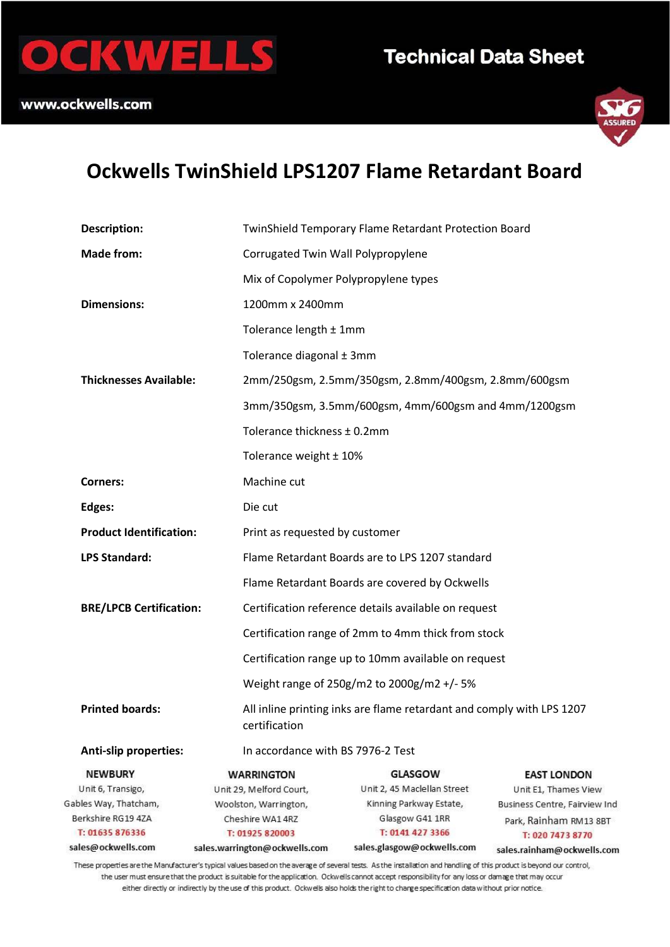



# **Ockwells TwinShield LPS1207 Flame Retardant Board**

| <b>Description:</b>                                              | TwinShield Temporary Flame Retardant Protection Board |                                                                       |                               |  |
|------------------------------------------------------------------|-------------------------------------------------------|-----------------------------------------------------------------------|-------------------------------|--|
| <b>Made from:</b>                                                |                                                       | Corrugated Twin Wall Polypropylene                                    |                               |  |
|                                                                  |                                                       | Mix of Copolymer Polypropylene types                                  |                               |  |
| <b>Dimensions:</b>                                               |                                                       | 1200mm x 2400mm                                                       |                               |  |
|                                                                  |                                                       | Tolerance length ± 1mm                                                |                               |  |
|                                                                  | Tolerance diagonal ± 3mm                              |                                                                       |                               |  |
| <b>Thicknesses Available:</b>                                    |                                                       | 2mm/250gsm, 2.5mm/350gsm, 2.8mm/400gsm, 2.8mm/600gsm                  |                               |  |
|                                                                  |                                                       | 3mm/350gsm, 3.5mm/600gsm, 4mm/600gsm and 4mm/1200gsm                  |                               |  |
|                                                                  |                                                       | Tolerance thickness ± 0.2mm                                           |                               |  |
|                                                                  |                                                       | Tolerance weight ± 10%                                                |                               |  |
| <b>Corners:</b>                                                  | Machine cut                                           |                                                                       |                               |  |
| Edges:                                                           | Die cut                                               |                                                                       |                               |  |
| <b>Product Identification:</b><br>Print as requested by customer |                                                       |                                                                       |                               |  |
| <b>LPS Standard:</b>                                             |                                                       | Flame Retardant Boards are to LPS 1207 standard                       |                               |  |
|                                                                  | Flame Retardant Boards are covered by Ockwells        |                                                                       |                               |  |
| <b>BRE/LPCB Certification:</b>                                   | Certification reference details available on request  |                                                                       |                               |  |
|                                                                  |                                                       | Certification range of 2mm to 4mm thick from stock                    |                               |  |
|                                                                  | Certification range up to 10mm available on request   |                                                                       |                               |  |
|                                                                  | Weight range of 250g/m2 to 2000g/m2 +/- 5%            |                                                                       |                               |  |
| <b>Printed boards:</b>                                           | certification                                         | All inline printing inks are flame retardant and comply with LPS 1207 |                               |  |
| <b>Anti-slip properties:</b>                                     | In accordance with BS 7976-2 Test                     |                                                                       |                               |  |
| <b>NEWBURY</b>                                                   | <b>WARRINGTON</b>                                     | <b>GLASGOW</b>                                                        | <b>EAST LONDON</b>            |  |
| Unit 6, Transigo,                                                | Unit 29, Melford Court,                               | Unit 2, 45 Maclellan Street                                           | Unit E1, Thames View          |  |
| Gables Way, Thatcham,                                            | Woolston, Warrington,                                 | Kinning Parkway Estate,                                               | Business Centre, Fairview Ind |  |
| Berkshire RG19 47A                                               | Cheshire WA1 4RZ                                      | Glasgow G41 1RR                                                       | Park, Rainham RM13 8BT        |  |
| T: 01635 876336                                                  | T: 01925 820003                                       | T: 0141 427 3366                                                      | T: 020 7473 8770              |  |
| sales@ockwells.com                                               | sales.warrington@ockwells.com                         | sales.glasgow@ockwells.com                                            | sales.rainham@ockwells.com    |  |

These properties are the Manufacturer's typical values based on the average of several tests. As the installation and handling of this product is beyond our control, the user must ensure that the product is suitable for the application. Ockwells cannot accept responsibility for any loss or damage that may occur either directly or indirectly by the use of this product. Ockwells also holds the right to charge specification data without prior notice.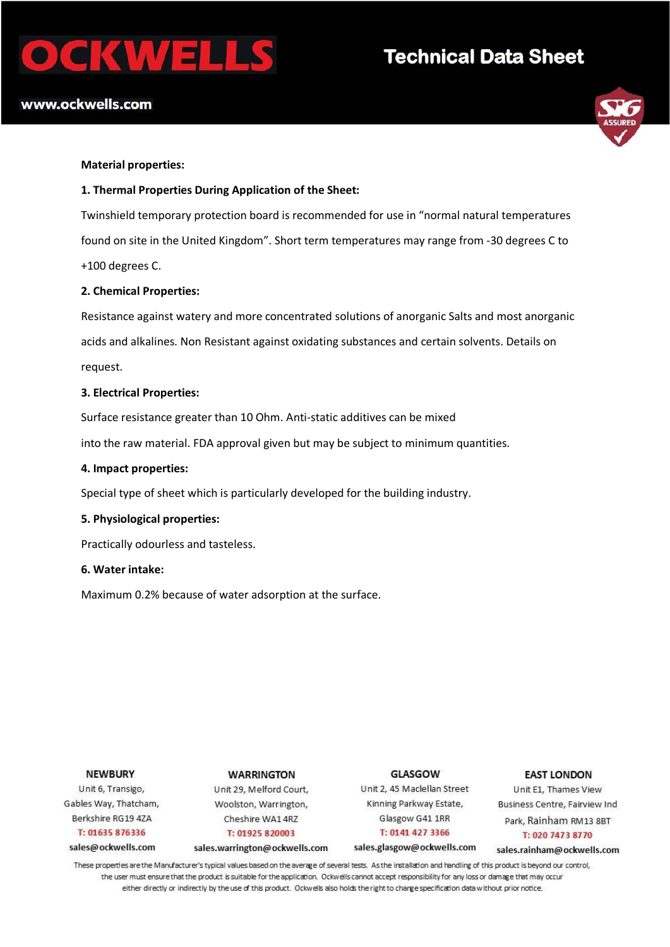# CKWEI

# **Technical Data Sheet**

## www.ockwells.com



#### **Material properties:**

#### **1. Thermal Properties During Application of the Sheet:**

Twinshield temporary protection board is recommended for use in "normal natural temperatures found on site in the United Kingdom". Short term temperatures may range from -30 degrees C to +100 degrees C.

#### **2. Chemical Properties:**

Resistance against watery and more concentrated solutions of anorganic Salts and most anorganic acids and alkalines. Non Resistant against oxidating substances and certain solvents. Details on request.

#### **3. Electrical Properties:**

Surface resistance greater than 10 Ohm. Anti-static additives can be mixed

into the raw material. FDA approval given but may be subject to minimum quantities.

#### **4. Impact properties:**

Special type of sheet which is particularly developed for the building industry.

#### **5. Physiological properties:**

Practically odourless and tasteless.

#### **6. Water intake:**

Maximum 0.2% because of water adsorption at the surface.

#### **NEWBURY**

Unit 6, Transigo, Gables Way, Thatcham, Berkshire RG19 4ZA T: 01635 876336

#### sales@ockwells.com

Unit 29, Melford Court, Woolston, Warrington, Cheshire WA14RZ T: 01925 820003

sales.warrington@ockwells.com

**WARRINGTON** 

**GLASGOW** Unit 2, 45 Maclellan Street Kinning Parkway Estate, Glasgow G41 1RR T: 0141 427 3366

sales.glasgow@ockwells.com

#### **EAST LONDON** Unit E1, Thames View

Business Centre, Fairview Ind Park, Rainham RM13 8BT T: 020 7473 8770

sales.rainham@ockwells.com

These properties are the Manufacturer's typical values based on the average of several tests. As the installation and handling of this product is beyond our control, the user must ensure that the product is suitable for the application. Ockwells cannot accept responsibility for any loss or damage that may occur either directly or indirectly by the use of this product. Ockwells also holds the right to charge specification data without prior notice.